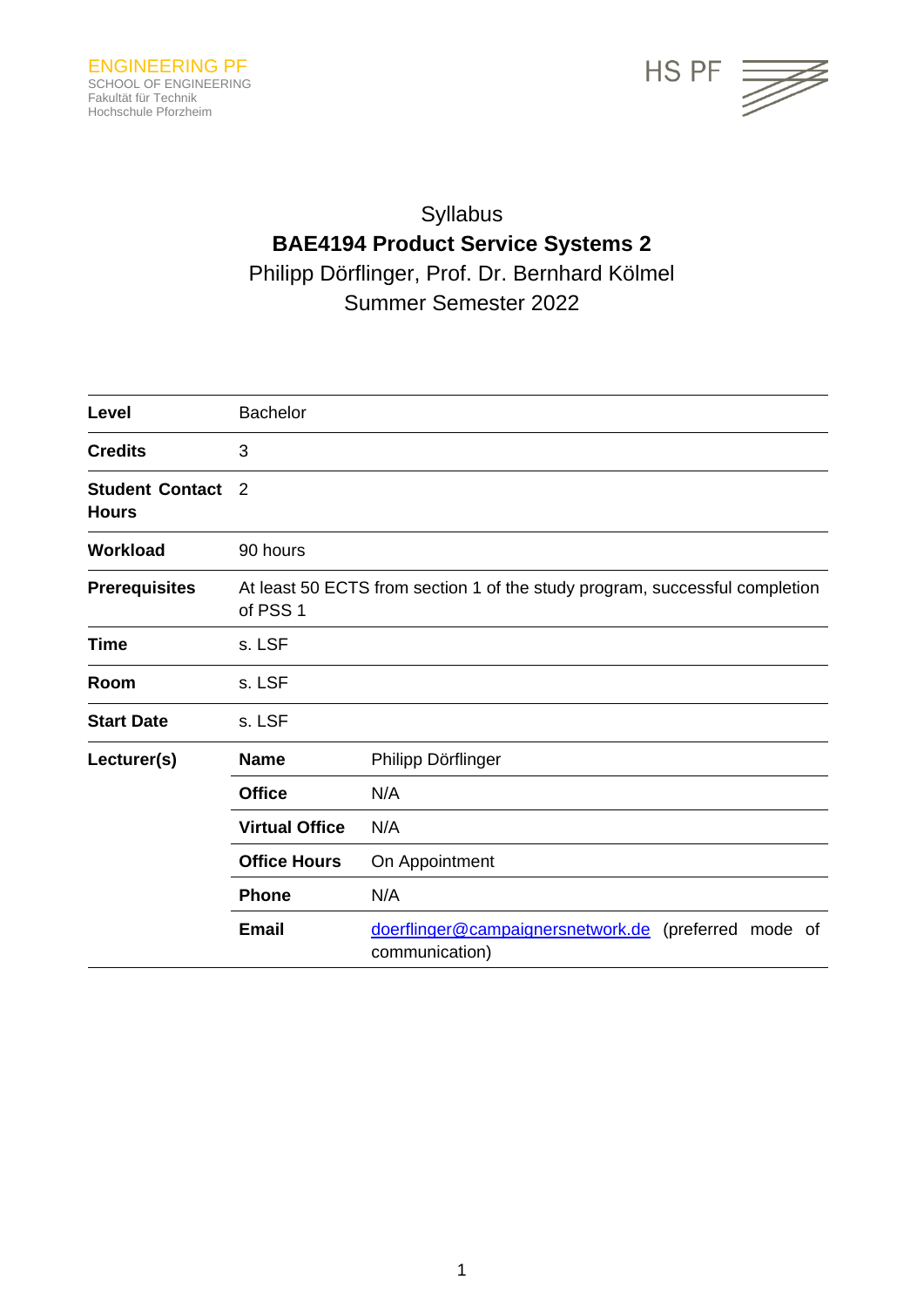

# Syllabus **BAE4194 Product Service Systems 2** Philipp Dörflinger, Prof. Dr. Bernhard Kölmel Summer Semester 2022

| Level                                  | <b>Bachelor</b>                                                                         |                                                                        |
|----------------------------------------|-----------------------------------------------------------------------------------------|------------------------------------------------------------------------|
| <b>Credits</b>                         | 3                                                                                       |                                                                        |
| <b>Student Contact</b><br><b>Hours</b> | $\overline{2}$                                                                          |                                                                        |
| <b>Workload</b>                        | 90 hours                                                                                |                                                                        |
| <b>Prerequisites</b>                   | At least 50 ECTS from section 1 of the study program, successful completion<br>of PSS 1 |                                                                        |
| <b>Time</b>                            | s. LSF                                                                                  |                                                                        |
| Room                                   | s. LSF                                                                                  |                                                                        |
| <b>Start Date</b>                      | s. LSF                                                                                  |                                                                        |
| Lecturer(s)                            | <b>Name</b>                                                                             | Philipp Dörflinger                                                     |
|                                        | <b>Office</b>                                                                           | N/A                                                                    |
|                                        | <b>Virtual Office</b>                                                                   | N/A                                                                    |
|                                        | <b>Office Hours</b>                                                                     | On Appointment                                                         |
|                                        | <b>Phone</b>                                                                            | N/A                                                                    |
|                                        | <b>Email</b>                                                                            | doerflinger@campaignersnetwork.de (preferred mode of<br>communication) |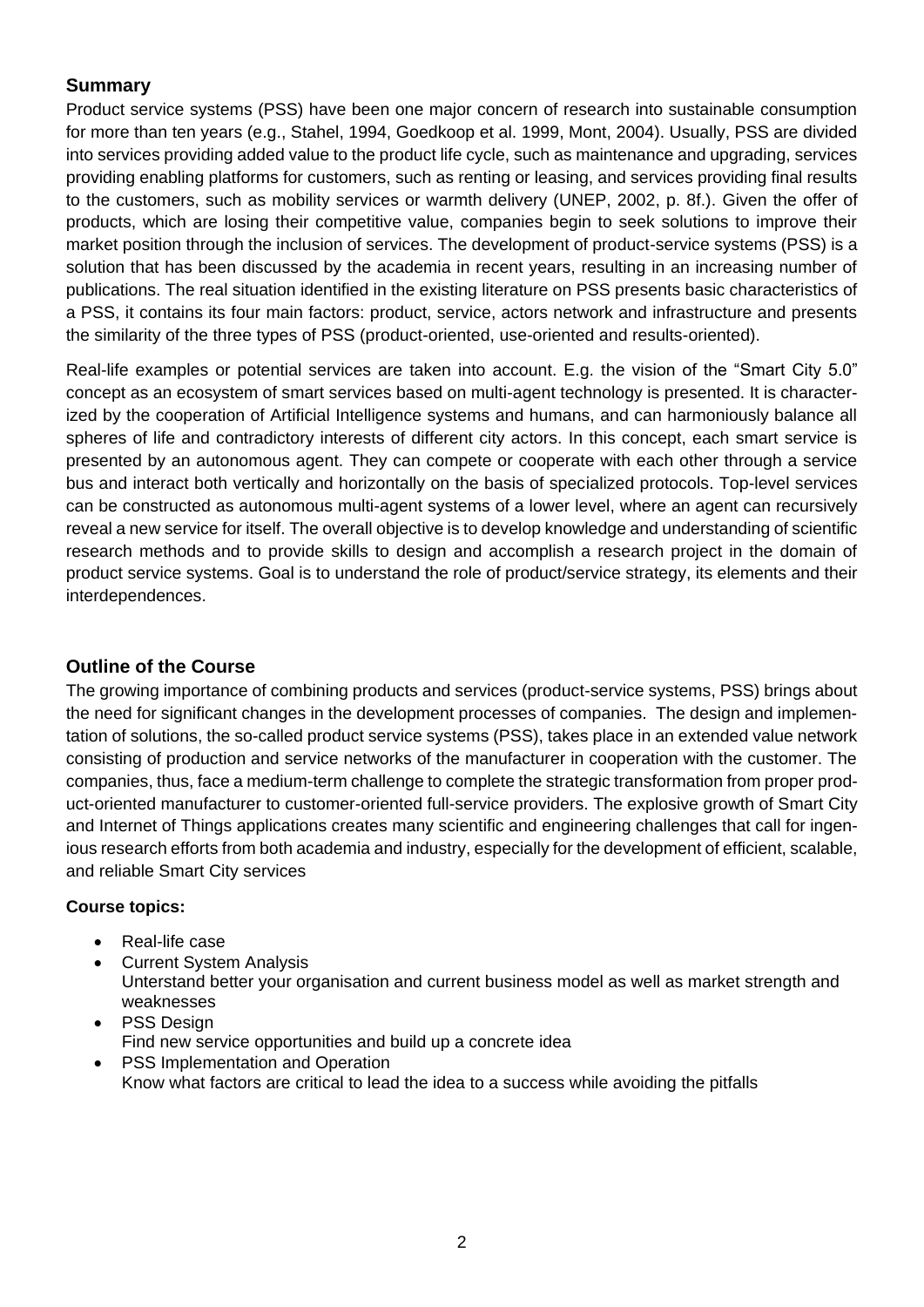### **Summary**

Product service systems (PSS) have been one major concern of research into sustainable consumption for more than ten years (e.g., Stahel, 1994, Goedkoop et al. 1999, Mont, 2004). Usually, PSS are divided into services providing added value to the product life cycle, such as maintenance and upgrading, services providing enabling platforms for customers, such as renting or leasing, and services providing final results to the customers, such as mobility services or warmth delivery (UNEP, 2002, p. 8f.). Given the offer of products, which are losing their competitive value, companies begin to seek solutions to improve their market position through the inclusion of services. The development of product-service systems (PSS) is a solution that has been discussed by the academia in recent years, resulting in an increasing number of publications. The real situation identified in the existing literature on PSS presents basic characteristics of a PSS, it contains its four main factors: product, service, actors network and infrastructure and presents the similarity of the three types of PSS (product-oriented, use-oriented and results-oriented).

Real-life examples or potential services are taken into account. E.g. the vision of the "Smart City 5.0" concept as an ecosystem of smart services based on multi-agent technology is presented. It is characterized by the cooperation of Artificial Intelligence systems and humans, and can harmoniously balance all spheres of life and contradictory interests of different city actors. In this concept, each smart service is presented by an autonomous agent. They can compete or cooperate with each other through a service bus and interact both vertically and horizontally on the basis of specialized protocols. Top-level services can be constructed as autonomous multi-agent systems of a lower level, where an agent can recursively reveal a new service for itself. The overall objective is to develop knowledge and understanding of scientific research methods and to provide skills to design and accomplish a research project in the domain of product service systems. Goal is to understand the role of product/service strategy, its elements and their interdependences.

## **Outline of the Course**

The growing importance of combining products and services (product-service systems, PSS) brings about the need for significant changes in the development processes of companies. The design and implementation of solutions, the so-called product service systems (PSS), takes place in an extended value network consisting of production and service networks of the manufacturer in cooperation with the customer. The companies, thus, face a medium-term challenge to complete the strategic transformation from proper product-oriented manufacturer to customer-oriented full-service providers. The explosive growth of Smart City and Internet of Things applications creates many scientific and engineering challenges that call for ingenious research efforts from both academia and industry, especially for the development of efficient, scalable, and reliable Smart City services

#### **Course topics:**

- Real-life case
- Current System Analysis Unterstand better your organisation and current business model as well as market strength and weaknesses
- PSS Design Find new service opportunities and build up a concrete idea
- PSS Implementation and Operation Know what factors are critical to lead the idea to a success while avoiding the pitfalls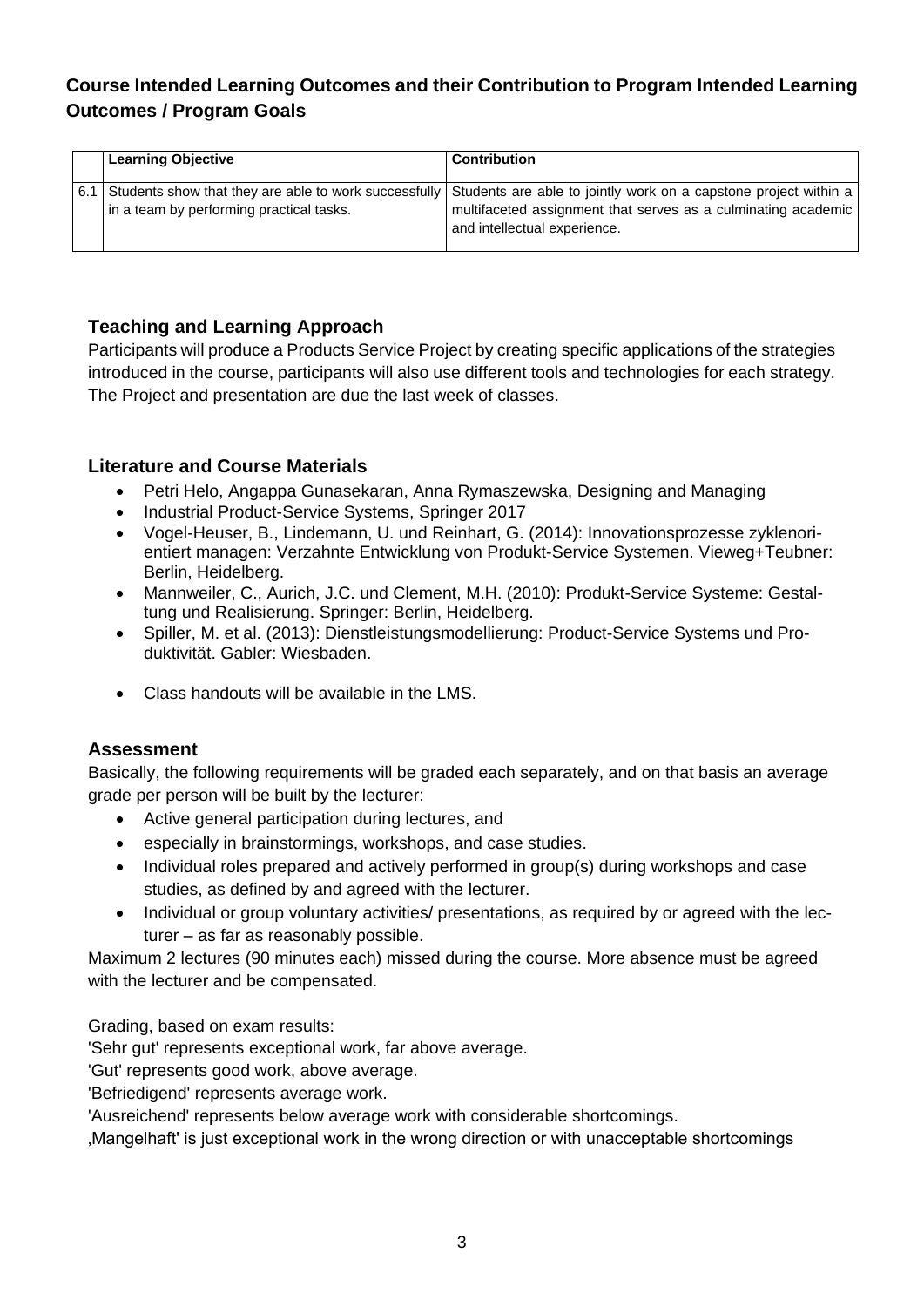## **Course Intended Learning Outcomes and their Contribution to Program Intended Learning Outcomes / Program Goals**

| <b>Learning Objective</b>                | <b>Contribution</b>                                                                                                                                                                                                         |
|------------------------------------------|-----------------------------------------------------------------------------------------------------------------------------------------------------------------------------------------------------------------------------|
| in a team by performing practical tasks. | 6.1 Students show that they are able to work successfully Students are able to jointly work on a capstone project within a<br>multifaceted assignment that serves as a culminating academic<br>and intellectual experience. |

## **Teaching and Learning Approach**

Participants will produce a Products Service Project by creating specific applications of the strategies introduced in the course, participants will also use different tools and technologies for each strategy. The Project and presentation are due the last week of classes.

## **Literature and Course Materials**

- Petri Helo, Angappa Gunasekaran, Anna Rymaszewska, Designing and Managing
- Industrial Product-Service Systems, Springer 2017
- Vogel-Heuser, B., Lindemann, U. und Reinhart, G. (2014): Innovationsprozesse zyklenorientiert managen: Verzahnte Entwicklung von Produkt-Service Systemen. Vieweg+Teubner: Berlin, Heidelberg.
- Mannweiler, C., Aurich, J.C. und Clement, M.H. (2010): Produkt-Service Systeme: Gestaltung und Realisierung. Springer: Berlin, Heidelberg.
- Spiller, M. et al. (2013): Dienstleistungsmodellierung: Product-Service Systems und Produktivität. Gabler: Wiesbaden.
- Class handouts will be available in the LMS.

#### **Assessment**

Basically, the following requirements will be graded each separately, and on that basis an average grade per person will be built by the lecturer:

- Active general participation during lectures, and
- especially in brainstormings, workshops, and case studies.
- Individual roles prepared and actively performed in group(s) during workshops and case studies, as defined by and agreed with the lecturer.
- Individual or group voluntary activities/ presentations, as required by or agreed with the lecturer – as far as reasonably possible.

Maximum 2 lectures (90 minutes each) missed during the course. More absence must be agreed with the lecturer and be compensated.

Grading, based on exam results:

'Sehr gut' represents exceptional work, far above average.

'Gut' represents good work, above average.

'Befriedigend' represents average work.

'Ausreichend' represents below average work with considerable shortcomings.

'Mangelhaft' is just exceptional work in the wrong direction or with unacceptable shortcomings